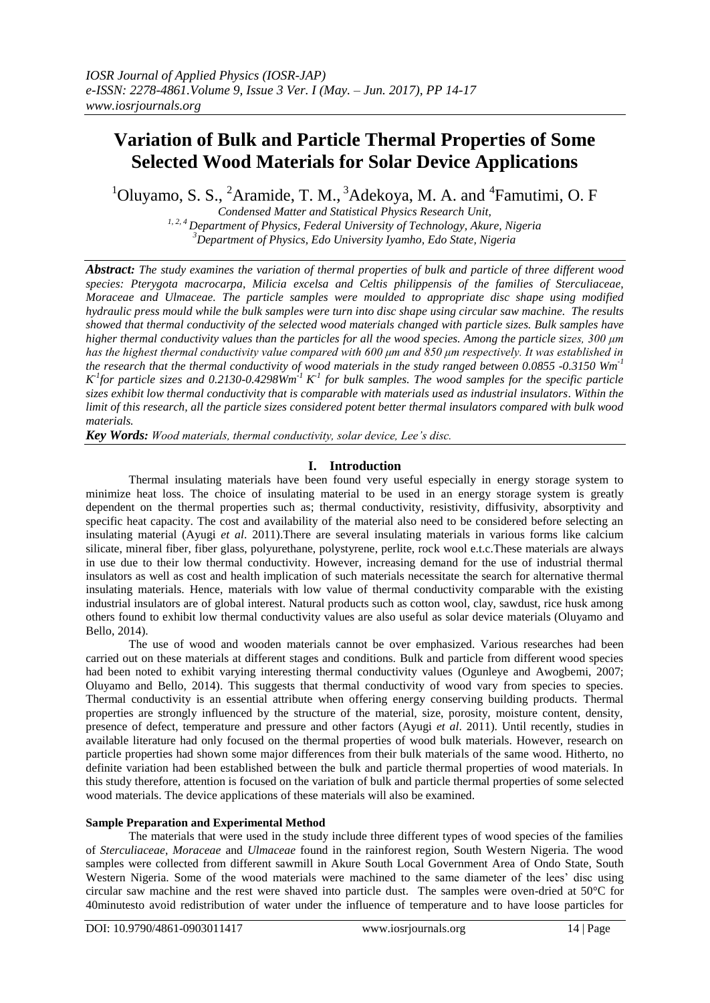# **Variation of Bulk and Particle Thermal Properties of Some Selected Wood Materials for Solar Device Applications**

 $1$ Oluyamo, S. S.,  $2$ Aramide, T. M.,  $3$ Adekoya, M. A. and  $4$ Famutimi, O. F

*Condensed Matter and Statistical Physics Research Unit, 1, 2, 4 Department of Physics, Federal University of Technology, Akure, Nigeria <sup>3</sup>Department of Physics, Edo University Iyamho, Edo State, Nigeria*

*Abstract: The study examines the variation of thermal properties of bulk and particle of three different wood species: Pterygota macrocarpa, Milicia excelsa and Celtis philippensis of the families of Sterculiaceae, Moraceae and Ulmaceae. The particle samples were moulded to appropriate disc shape using modified hydraulic press mould while the bulk samples were turn into disc shape using circular saw machine. The results showed that thermal conductivity of the selected wood materials changed with particle sizes. Bulk samples have higher thermal conductivity values than the particles for all the wood species. Among the particle sizes, 300 μm has the highest thermal conductivity value compared with 600 μm and 850 μm respectively. It was established in the research that the thermal conductivity of wood materials in the study ranged between 0.0855 -0.3150 Wm-1*   $K$ <sup>1</sup> for particle sizes and 0.2130-0.4298Wm<sup>-1</sup>  $K$ <sup>1</sup> for bulk samples. The wood samples for the specific particle *sizes exhibit low thermal conductivity that is comparable with materials used as industrial insulators. Within the limit of this research, all the particle sizes considered potent better thermal insulators compared with bulk wood materials.*

*Key Words: Wood materials, thermal conductivity, solar device, Lee's disc.*

## **I. Introduction**

Thermal insulating materials have been found very useful especially in energy storage system to minimize heat loss. The choice of insulating material to be used in an energy storage system is greatly dependent on the thermal properties such as; thermal conductivity, resistivity, diffusivity, absorptivity and specific heat capacity. The cost and availability of the material also need to be considered before selecting an insulating material (Ayugi *et al*. 2011).There are several insulating materials in various forms like calcium silicate, mineral fiber, fiber glass, polyurethane, polystyrene, perlite, rock wool e.t.c.These materials are always in use due to their low thermal conductivity. However, increasing demand for the use of industrial thermal insulators as well as cost and health implication of such materials necessitate the search for alternative thermal insulating materials. Hence, materials with low value of thermal conductivity comparable with the existing industrial insulators are of global interest. Natural products such as cotton wool, clay, sawdust, rice husk among others found to exhibit low thermal conductivity values are also useful as solar device materials (Oluyamo and Bello, 2014).

The use of wood and wooden materials cannot be over emphasized. Various researches had been carried out on these materials at different stages and conditions. Bulk and particle from different wood species had been noted to exhibit varying interesting thermal conductivity values (Ogunleye and Awogbemi, 2007; Oluyamo and Bello, 2014). This suggests that thermal conductivity of wood vary from species to species. Thermal conductivity is an essential attribute when offering energy conserving building products. Thermal properties are strongly influenced by the structure of the material, size, porosity, moisture content, density, presence of defect, temperature and pressure and other factors (Ayugi *et al*. 2011). Until recently, studies in available literature had only focused on the thermal properties of wood bulk materials. However, research on particle properties had shown some major differences from their bulk materials of the same wood. Hitherto, no definite variation had been established between the bulk and particle thermal properties of wood materials. In this study therefore, attention is focused on the variation of bulk and particle thermal properties of some selected wood materials. The device applications of these materials will also be examined.

## **Sample Preparation and Experimental Method**

The materials that were used in the study include three different types of wood species of the families of *Sterculiaceae*, *Moraceae* and *Ulmaceae* found in the rainforest region, South Western Nigeria. The wood samples were collected from different sawmill in Akure South Local Government Area of Ondo State, South Western Nigeria. Some of the wood materials were machined to the same diameter of the lees' disc using circular saw machine and the rest were shaved into particle dust. The samples were oven-dried at 50°C for 40minutesto avoid redistribution of water under the influence of temperature and to have loose particles for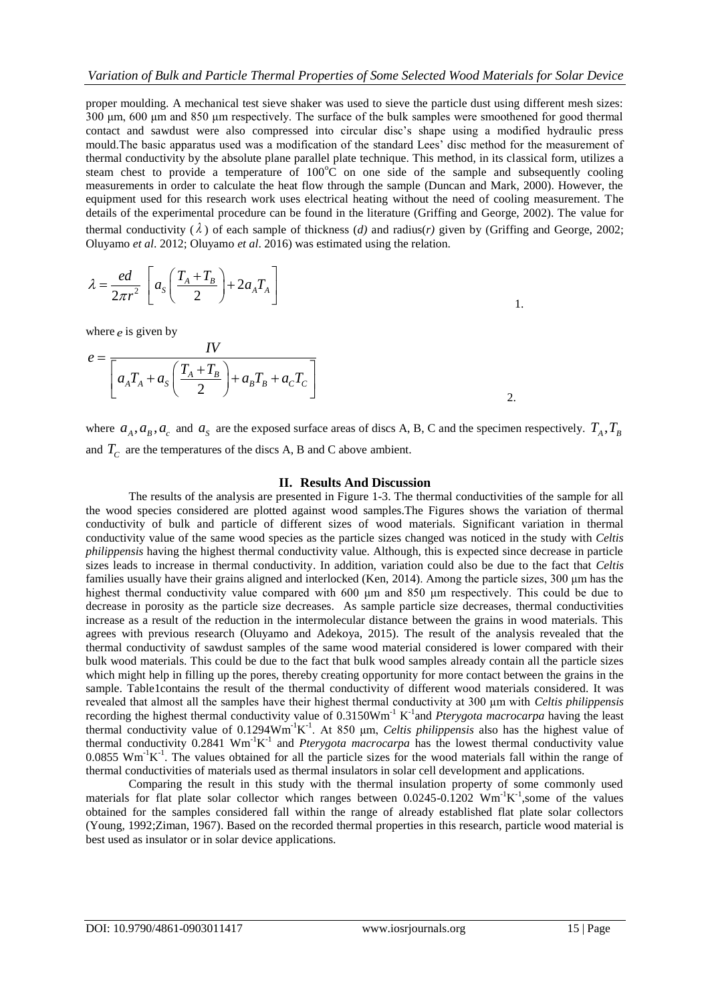proper moulding. A mechanical test sieve shaker was used to sieve the particle dust using different mesh sizes: 300 μm, 600 μm and 850 μm respectively. The surface of the bulk samples were smoothened for good thermal contact and sawdust were also compressed into circular disc's shape using a modified hydraulic press mould.The basic apparatus used was a modification of the standard Lees' disc method for the measurement of thermal conductivity by the absolute plane parallel plate technique. This method, in its classical form, utilizes a steam chest to provide a temperature of  $100^{\circ}$ C on one side of the sample and subsequently cooling measurements in order to calculate the heat flow through the sample (Duncan and Mark, 2000). However, the equipment used for this research work uses electrical heating without the need of cooling measurement. The details of the experimental procedure can be found in the literature (Griffing and George, 2002). The value for thermal conductivity  $(\lambda)$  of each sample of thickness  $(d)$  and radius(*r*) given by (Griffing and George, 2002; Oluyamo *et al*. 2012; Oluyamo *et al*. 2016) was estimated using the relation.

$$
\lambda = \frac{ed}{2\pi r^2} \left[ a_s \left( \frac{T_A + T_B}{2} \right) + 2a_A T_A \right]
$$

where  $e$  is given by

$$
e = \frac{IV}{\left[a_A T_A + a_S \left(\frac{T_A + T_B}{2}\right) + a_B T_B + a_C T_C\right]}
$$
2.

where  $a_A, a_B, a_c$  and  $a_S$  are the exposed surface areas of discs A, B, C and the specimen respectively.  $T_A, T_B$ and  $T_c$  are the temperatures of the discs A, B and C above ambient.

#### **II. Results And Discussion**

The results of the analysis are presented in Figure 1-3. The thermal conductivities of the sample for all the wood species considered are plotted against wood samples.The Figures shows the variation of thermal conductivity of bulk and particle of different sizes of wood materials. Significant variation in thermal conductivity value of the same wood species as the particle sizes changed was noticed in the study with *Celtis philippensis* having the highest thermal conductivity value. Although, this is expected since decrease in particle sizes leads to increase in thermal conductivity. In addition, variation could also be due to the fact that *Celtis* families usually have their grains aligned and interlocked (Ken, 2014). Among the particle sizes, 300 μm has the highest thermal conductivity value compared with 600 μm and 850 μm respectively. This could be due to decrease in porosity as the particle size decreases. As sample particle size decreases, thermal conductivities increase as a result of the reduction in the intermolecular distance between the grains in wood materials. This agrees with previous research (Oluyamo and Adekoya, 2015). The result of the analysis revealed that the thermal conductivity of sawdust samples of the same wood material considered is lower compared with their bulk wood materials. This could be due to the fact that bulk wood samples already contain all the particle sizes which might help in filling up the pores, thereby creating opportunity for more contact between the grains in the sample. Table1contains the result of the thermal conductivity of different wood materials considered. It was revealed that almost all the samples have their highest thermal conductivity at 300 μm with *Celtis philippensis* recording the highest thermal conductivity value of 0.3150Wm<sup>-1</sup> K<sup>-1</sup> and *Pterygota macrocarpa* having the least thermal conductivity value of  $0.1294 \text{Wm}^{-1}\text{K}^{-1}$ . At 850  $\mu$ m, *Celtis philippensis* also has the highest value of thermal conductivity  $0.2841$  Wm<sup>-1</sup>K<sup>-1</sup> and *Pterygota macrocarpa* has the lowest thermal conductivity value  $0.0855$  Wm<sup>-1</sup>K<sup>-1</sup>. The values obtained for all the particle sizes for the wood materials fall within the range of thermal conductivities of materials used as thermal insulators in solar cell development and applications.

Comparing the result in this study with the thermal insulation property of some commonly used materials for flat plate solar collector which ranges between  $0.0245{\text -}0.1202$  Wm<sup>-1</sup>K<sup>-1</sup>,some of the values obtained for the samples considered fall within the range of already established flat plate solar collectors (Young, 1992;Ziman, 1967). Based on the recorded thermal properties in this research, particle wood material is best used as insulator or in solar device applications.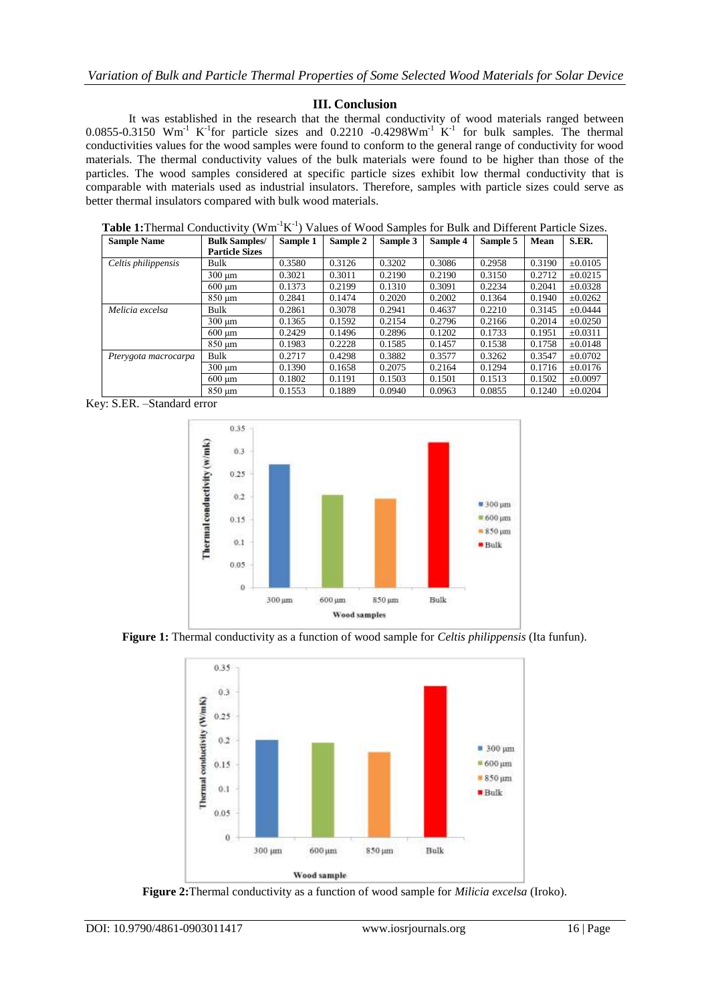## **III. Conclusion**

It was established in the research that the thermal conductivity of wood materials ranged between  $0.0855$ -0.3150 Wm<sup>-1</sup> K<sup>-1</sup>for particle sizes and 0.2210 -0.4298Wm<sup>-1</sup> K<sup>-1</sup> for bulk samples. The thermal conductivities values for the wood samples were found to conform to the general range of conductivity for wood materials. The thermal conductivity values of the bulk materials were found to be higher than those of the particles. The wood samples considered at specific particle sizes exhibit low thermal conductivity that is comparable with materials used as industrial insulators. Therefore, samples with particle sizes could serve as better thermal insulators compared with bulk wood materials.

Table 1: Thermal Conductivity (Wm<sup>-1</sup>K<sup>-1</sup>) Values of Wood Samples for Bulk and Different Particle Sizes.

| <b>Sample Name</b>   | <b>Bulk Samples/</b>      | Sample 1 | Sample 2 | Sample 3 | Sample 4 | Sample 5 | Mean   | S.ER.        |
|----------------------|---------------------------|----------|----------|----------|----------|----------|--------|--------------|
|                      | <b>Particle Sizes</b>     |          |          |          |          |          |        |              |
| Celtis philippensis  | Bulk                      | 0.3580   | 0.3126   | 0.3202   | 0.3086   | 0.2958   | 0.3190 | $\pm 0.0105$ |
|                      | $300 \mu m$               | 0.3021   | 0.3011   | 0.2190   | 0.2190   | 0.3150   | 0.2712 | $\pm 0.0215$ |
|                      | $600 \mu m$               | 0.1373   | 0.2199   | 0.1310   | 0.3091   | 0.2234   | 0.2041 | $\pm 0.0328$ |
|                      | $850 \mu m$               | 0.2841   | 0.1474   | 0.2020   | 0.2002   | 0.1364   | 0.1940 | $\pm 0.0262$ |
| Melicia excelsa      | Bulk                      | 0.2861   | 0.3078   | 0.2941   | 0.4637   | 0.2210   | 0.3145 | $+0.0444$    |
|                      | $300 \text{ µm}$          | 0.1365   | 0.1592   | 0.2154   | 0.2796   | 0.2166   | 0.2014 | $\pm 0.0250$ |
|                      | $600 \text{ }\mu\text{m}$ | 0.2429   | 0.1496   | 0.2896   | 0.1202   | 0.1733   | 0.1951 | $\pm 0.0311$ |
|                      | 850 um                    | 0.1983   | 0.2228   | 0.1585   | 0.1457   | 0.1538   | 0.1758 | $\pm 0.0148$ |
| Pterygota macrocarpa | Bulk                      | 0.2717   | 0.4298   | 0.3882   | 0.3577   | 0.3262   | 0.3547 | $\pm 0.0702$ |
|                      | $300 \mu m$               | 0.1390   | 0.1658   | 0.2075   | 0.2164   | 0.1294   | 0.1716 | $\pm 0.0176$ |
|                      | $600 \text{ }\mu\text{m}$ | 0.1802   | 0.1191   | 0.1503   | 0.1501   | 0.1513   | 0.1502 | $\pm 0.0097$ |
|                      | 850 um                    | 0.1553   | 0.1889   | 0.0940   | 0.0963   | 0.0855   | 0.1240 | $\pm 0.0204$ |

Key: S.ER. –Standard error



**Figure 1:** Thermal conductivity as a function of wood sample for *Celtis philippensis* (Ita funfun).



**Figure 2:**Thermal conductivity as a function of wood sample for *Milicia excelsa* (Iroko).